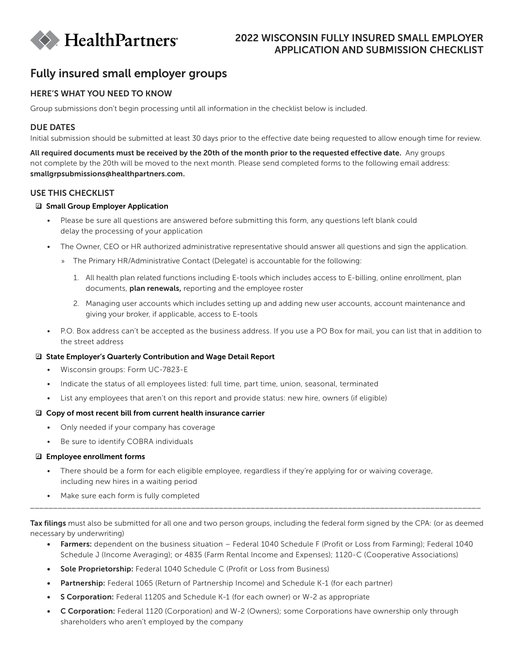

## 2022 WISCONSIN FULLY INSURED SMALL EMPLOYER APPLICATION AND SUBMISSION CHECKLIST

# Fully insured small employer groups

## HERE'S WHAT YOU NEED TO KNOW

Group submissions don't begin processing until all information in the checklist below is included.

#### DUE DATES

Initial submission should be submitted at least 30 days prior to the effective date being requested to allow enough time for review.

All required documents must be received by the 20th of the month prior to the requested effective date. Any groups not complete by the 20th will be moved to the next month. Please send completed forms to the following email address: smallgrpsubmissions@healthpartners.com.

#### USE THIS CHECKLIST

#### **■ Small Group Employer Application**

- Please be sure all questions are answered before submitting this form, any questions left blank could delay the processing of your application
- The Owner, CEO or HR authorized administrative representative should answer all questions and sign the application.
	- » The Primary HR/Administrative Contact (Delegate) is accountable for the following:
		- 1. All health plan related functions including E-tools which includes access to E-billing, online enrollment, plan documents, plan renewals, reporting and the employee roster
		- 2. Managing user accounts which includes setting up and adding new user accounts, account maintenance and giving your broker, if applicable, access to E-tools
- P.O. Box address can't be accepted as the business address. If you use a PO Box for mail, you can list that in addition to the street address

#### □ State Employer's Quarterly Contribution and Wage Detail Report

- Wisconsin groups: Form UC-7823-E
- Indicate the status of all employees listed: full time, part time, union, seasonal, terminated
- List any employees that aren't on this report and provide status: new hire, owners (if eligible)

#### $\Box$  Copy of most recent bill from current health insurance carrier

- Only needed if your company has coverage
- Be sure to identify COBRA individuals

#### $\boxdot$  Employee enrollment forms

- There should be a form for each eligible employee, regardless if they're applying for or waiving coverage, including new hires in a waiting period
- Make sure each form is fully completed

Tax filings must also be submitted for all one and two person groups, including the federal form signed by the CPA: (or as deemed necessary by underwriting)

\_\_\_\_\_\_\_\_\_\_\_\_\_\_\_\_\_\_\_\_\_\_\_\_\_\_\_\_\_\_\_\_\_\_\_\_\_\_\_\_\_\_\_\_\_\_\_\_\_\_\_\_\_\_\_\_\_\_\_\_\_\_\_\_\_\_\_\_\_\_\_\_\_\_\_\_\_\_\_\_\_\_\_\_\_\_\_\_\_\_\_\_\_\_\_\_\_\_

- Farmers: dependent on the business situation Federal 1040 Schedule F (Profit or Loss from Farming); Federal 1040 Schedule J (Income Averaging); or 4835 (Farm Rental Income and Expenses); 1120-C (Cooperative Associations)
- Sole Proprietorship: Federal 1040 Schedule C (Profit or Loss from Business)
- Partnership: Federal 1065 (Return of Partnership Income) and Schedule K-1 (for each partner)
- S Corporation: Federal 1120S and Schedule K-1 (for each owner) or W-2 as appropriate
- C Corporation: Federal 1120 (Corporation) and W-2 (Owners); some Corporations have ownership only through shareholders who aren't employed by the company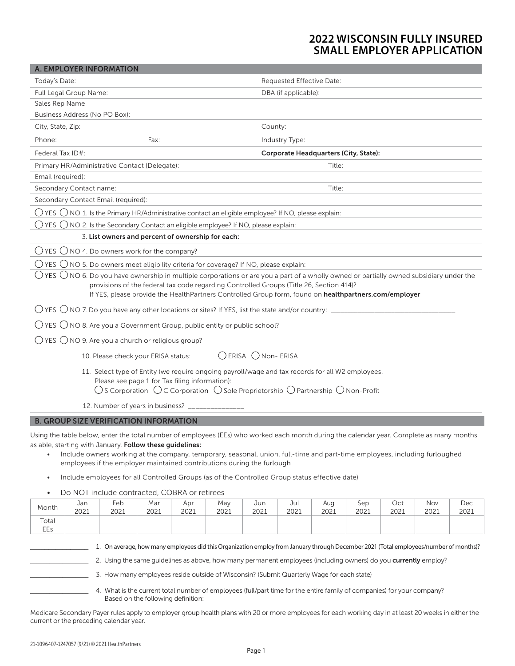# **2022 WISCONSIN FULLY INSURED SMALL EMPLOYER APPLICATION**

| Today's Date:<br>Requested Effective Date:                                                                                                                                                                                                                                                                                                                                                                   |      |
|--------------------------------------------------------------------------------------------------------------------------------------------------------------------------------------------------------------------------------------------------------------------------------------------------------------------------------------------------------------------------------------------------------------|------|
|                                                                                                                                                                                                                                                                                                                                                                                                              |      |
| Full Legal Group Name:<br>DBA (if applicable):                                                                                                                                                                                                                                                                                                                                                               |      |
| Sales Rep Name                                                                                                                                                                                                                                                                                                                                                                                               |      |
| Business Address (No PO Box):                                                                                                                                                                                                                                                                                                                                                                                |      |
| City, State, Zip:<br>County:                                                                                                                                                                                                                                                                                                                                                                                 |      |
| Phone:<br>Fax:<br>Industry Type:                                                                                                                                                                                                                                                                                                                                                                             |      |
| Federal Tax ID#:<br>Corporate Headquarters (City, State):                                                                                                                                                                                                                                                                                                                                                    |      |
| Primary HR/Administrative Contact (Delegate):<br>Title:                                                                                                                                                                                                                                                                                                                                                      |      |
| Email (required):                                                                                                                                                                                                                                                                                                                                                                                            |      |
| Secondary Contact name:<br>Title:                                                                                                                                                                                                                                                                                                                                                                            |      |
| Secondary Contact Email (required):                                                                                                                                                                                                                                                                                                                                                                          |      |
| $\bigcirc$ YES $\bigcirc$ NO 1. Is the Primary HR/Administrative contact an eligible employee? If NO, please explain:                                                                                                                                                                                                                                                                                        |      |
| $\bigcirc$ YES $\bigcirc$ NO 2. Is the Secondary Contact an eligible employee? If NO, please explain:                                                                                                                                                                                                                                                                                                        |      |
| 3. List owners and percent of ownership for each:                                                                                                                                                                                                                                                                                                                                                            |      |
| $\bigcirc$ YES $\bigcirc$ NO 4. Do owners work for the company?                                                                                                                                                                                                                                                                                                                                              |      |
| $\bigcirc$ YES $\bigcirc$ NO 5. Do owners meet eligibility criteria for coverage? If NO, please explain:                                                                                                                                                                                                                                                                                                     |      |
| $\bigcirc$ YES $\bigcirc$ NO 6. Do you have ownership in multiple corporations or are you a part of a wholly owned or partially owned subsidiary under the                                                                                                                                                                                                                                                   |      |
| provisions of the federal tax code regarding Controlled Groups (Title 26, Section 414)?<br>If YES, please provide the HealthPartners Controlled Group form, found on healthpartners.com/employer                                                                                                                                                                                                             |      |
|                                                                                                                                                                                                                                                                                                                                                                                                              |      |
| $\bigcirc$ YES $\bigcirc$ NO 8. Are you a Government Group, public entity or public school?                                                                                                                                                                                                                                                                                                                  |      |
| $\bigcirc$ YES $\bigcirc$ NO 9. Are you a church or religious group?                                                                                                                                                                                                                                                                                                                                         |      |
| ◯ ERISA ◯ Non- ERISA<br>10. Please check your ERISA status:                                                                                                                                                                                                                                                                                                                                                  |      |
| 11. Select type of Entity (we require ongoing payroll/wage and tax records for all W2 employees.<br>Please see page 1 for Tax filing information):<br>$\bigcirc$ S Corporation $\bigcirc$ C Corporation $\bigcirc$ Sole Proprietorship $\bigcirc$ Partnership $\bigcirc$ Non-Profit                                                                                                                          |      |
| 12. Number of years in business? ___________                                                                                                                                                                                                                                                                                                                                                                 |      |
| <b>B. GROUP SIZE VERIFICATION INFORMATION</b>                                                                                                                                                                                                                                                                                                                                                                |      |
|                                                                                                                                                                                                                                                                                                                                                                                                              |      |
| Using the table below, enter the total number of employees (EEs) who worked each month during the calendar year. Complete as many months<br>as able, starting with January. Follow these guidelines:<br>Include owners working at the company, temporary, seasonal, union, full-time and part-time employees, including furloughed<br>employees if the employer maintained contributions during the furlough |      |
| Include employees for all Controlled Groups (as of the Controlled Group status effective date)<br>$\bullet$                                                                                                                                                                                                                                                                                                  |      |
| Do NOT include contracted, COBRA or retirees<br>$\bullet$                                                                                                                                                                                                                                                                                                                                                    |      |
| Feb<br>Jul<br>Jan<br>Mar<br>Apr<br>Jun<br>Sep<br>Oct<br>Nov<br>May<br>Aug                                                                                                                                                                                                                                                                                                                                    | Dec  |
| Month<br>2021<br>2021<br>2021<br>2021<br>2021<br>2021<br>2021<br>2021<br>2021<br>2021<br>2021                                                                                                                                                                                                                                                                                                                | 2021 |
| Total<br>EEs                                                                                                                                                                                                                                                                                                                                                                                                 |      |
|                                                                                                                                                                                                                                                                                                                                                                                                              |      |
| 1. On average, how many employees did this Organization employ from January through December 2021 (Total employees/number of months)?                                                                                                                                                                                                                                                                        |      |
|                                                                                                                                                                                                                                                                                                                                                                                                              |      |

\_\_\_\_\_\_\_\_\_\_\_\_\_\_\_\_\_\_ 3. How many employees reside outside of Wisconsin? (Submit Quarterly Wage for each state)

4. What is the current total number of employees (full/part time for the entire family of companies) for your company? Based on the following definition:

Medicare Secondary Payer rules apply to employer group health plans with 20 or more employees for each working day in at least 20 weeks in either the current or the preceding calendar year.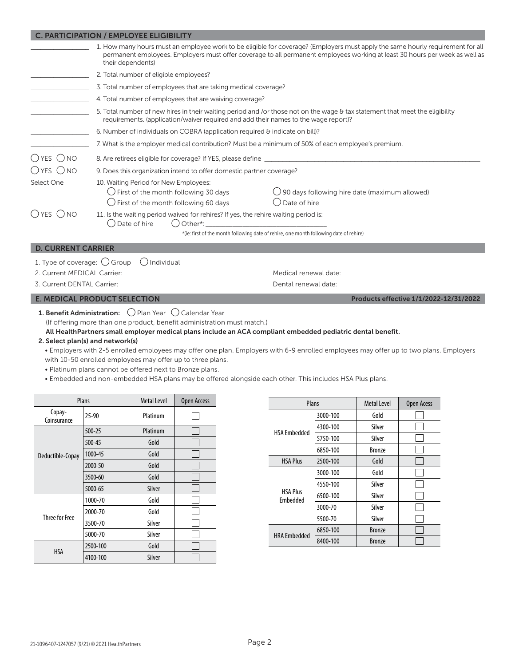|                            | <b>C. PARTICIPATION / EMPLOYEE ELIGIBILITY</b>                                                                                              |                                                                                                                                                                                                                                                               |  |  |  |  |  |
|----------------------------|---------------------------------------------------------------------------------------------------------------------------------------------|---------------------------------------------------------------------------------------------------------------------------------------------------------------------------------------------------------------------------------------------------------------|--|--|--|--|--|
|                            | their dependents)                                                                                                                           | 1. How many hours must an employee work to be eligible for coverage? (Employers must apply the same hourly requirement for all<br>permanent employees. Employers must offer coverage to all permanent employees working at least 30 hours per week as well as |  |  |  |  |  |
|                            | 2. Total number of eligible employees?                                                                                                      |                                                                                                                                                                                                                                                               |  |  |  |  |  |
|                            | 3. Total number of employees that are taking medical coverage?                                                                              |                                                                                                                                                                                                                                                               |  |  |  |  |  |
|                            | 4. Total number of employees that are waiving coverage?                                                                                     |                                                                                                                                                                                                                                                               |  |  |  |  |  |
|                            | requirements. (application/waiver required and add their names to the wage report)?                                                         | 5. Total number of new hires in their waiting period and /or those not on the wage & tax statement that meet the eligibility                                                                                                                                  |  |  |  |  |  |
|                            | 6. Number of individuals on COBRA (application required $\theta$ indicate on bill)?                                                         |                                                                                                                                                                                                                                                               |  |  |  |  |  |
|                            | 7. What is the employer medical contribution? Must be a minimum of 50% of each employee's premium.                                          |                                                                                                                                                                                                                                                               |  |  |  |  |  |
| $OYES$ $ONO$               |                                                                                                                                             | 8. Are retirees eligible for coverage? If YES, please define                                                                                                                                                                                                  |  |  |  |  |  |
| ()yes ()no                 | 9. Does this organization intend to offer domestic partner coverage?                                                                        |                                                                                                                                                                                                                                                               |  |  |  |  |  |
| Select One                 | 10. Waiting Period for New Employees:<br>$\bigcirc$ First of the month following 30 days<br>$\bigcirc$ First of the month following 60 days | $\bigcirc$ 90 days following hire date (maximum allowed)<br>() Date of hire                                                                                                                                                                                   |  |  |  |  |  |
| $OYES$ $ONO$               | 11. Is the waiting period waived for rehires? If yes, the rehire waiting period is:<br>$\bigcirc$ Date of hire<br>() Other*:                | <u> 1980 - Jan Barbara Barbara, maska kardinal (</u><br>*(ie: first of the month following date of rehire, one month following date of rehire)                                                                                                                |  |  |  |  |  |
| <b>D. CURRENT CARRIER</b>  |                                                                                                                                             |                                                                                                                                                                                                                                                               |  |  |  |  |  |
|                            | 1. Type of coverage: $\bigcirc$ Group $\bigcirc$ Individual                                                                                 |                                                                                                                                                                                                                                                               |  |  |  |  |  |
|                            |                                                                                                                                             |                                                                                                                                                                                                                                                               |  |  |  |  |  |
| 3. Current DENTAL Carrier: |                                                                                                                                             |                                                                                                                                                                                                                                                               |  |  |  |  |  |
|                            | <b>E. MEDICAL PRODUCT SELECTION</b>                                                                                                         | Products effective 1/1/2022-12/31/2022                                                                                                                                                                                                                        |  |  |  |  |  |

### 1. Benefit Administration:  $\bigcirc$  Plan Year  $\bigcirc$  Calendar Year

(If offering more than one product, benefit administration must match.)

#### All HealthPartners small employer medical plans include an ACA compliant embedded pediatric dental benefit.

#### 2. Select plan(s) and network(s)

• Employers with 2-5 enrolled employees may offer one plan. Employers with 6-9 enrolled employees may offer up to two plans. Employers with 10-50 enrolled employees may offer up to three plans.

• Platinum plans cannot be offered next to Bronze plans.

• Embedded and non-embedded HSA plans may be offered alongside each other. This includes HSA Plus plans.

| <b>Plans</b>          |          | <b>Metal Level</b> | Open Access |
|-----------------------|----------|--------------------|-------------|
| Copay-<br>Coinsurance | $25-90$  |                    |             |
|                       | 500-25   | Platinum           |             |
|                       | 500-45   | Gold               |             |
| Deductible-Copay      | 1000-45  | Gold               |             |
|                       | 2000-50  | Gold               |             |
|                       | 3500-60  | Gold               |             |
|                       | 5000-65  | Silver             |             |
|                       | 1000-70  | Gold               |             |
|                       | 2000-70  | Gold               |             |
| Three for Free        | 3500-70  | Silver             |             |
|                       | 5000-70  | Silver             |             |
|                       | 2500-100 | Gold               |             |
| <b>HSA</b>            | 4100-100 | Silver             |             |

| Plans                       |          | <b>Metal Level</b> | Open Acess |
|-----------------------------|----------|--------------------|------------|
|                             | 3000-100 | Gold               |            |
| <b>HSA Embedded</b>         | 4300-100 | Silver             |            |
|                             | 5750-100 | Silver             |            |
|                             | 6850-100 | <b>Bronze</b>      |            |
| <b>HSA Plus</b>             | 2500-100 | Gold               |            |
| <b>HSA Plus</b><br>Embedded | 3000-100 | Gold               |            |
|                             | 4550-100 | Silver             |            |
|                             | 6500-100 | Silver             |            |
|                             | 3000-70  | Silver             |            |
|                             | 5500-70  | Silver             |            |
| <b>HRA Embedded</b>         | 6850-100 | <b>Bronze</b>      |            |
|                             | 8400-100 | <b>Bronze</b>      |            |